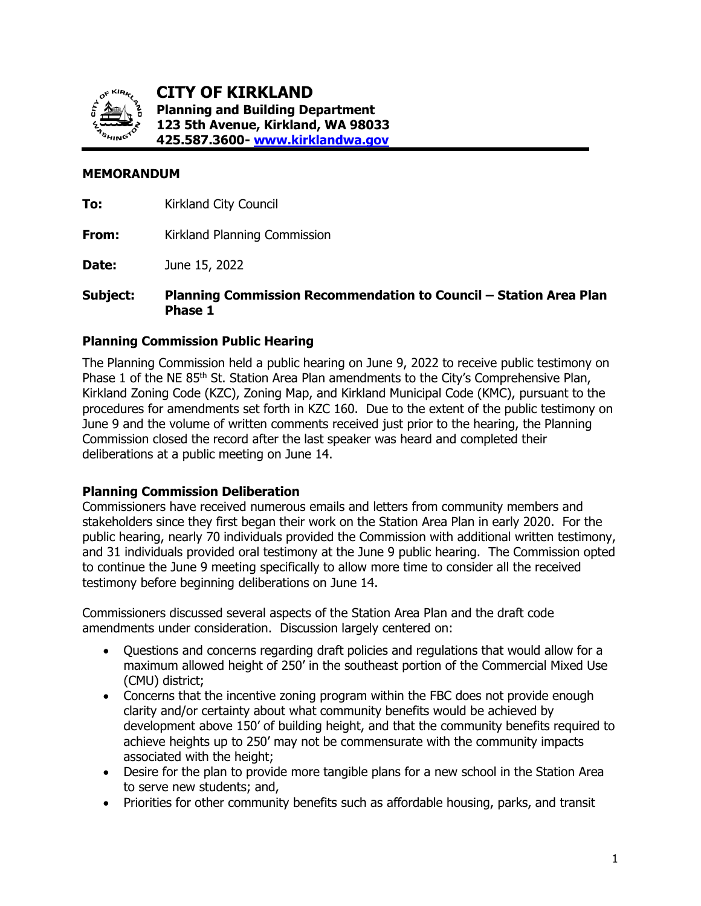

**CITY OF KIRKLAND Planning and Building Department 123 5th Avenue, Kirkland, WA 98033 425.587.3600- [www.kirklandwa.gov](http://www.kirklandwa.gov/)**

### **MEMORANDUM**

**To:** Kirkland City Council

**From:** Kirkland Planning Commission

**Date:** June 15, 2022

**Subject: Planning Commission Recommendation to Council – Station Area Plan Phase 1**

#### **Planning Commission Public Hearing**

The Planning Commission held a public hearing on June 9, 2022 to receive public testimony on Phase 1 of the NE 85<sup>th</sup> St. Station Area Plan amendments to the City's Comprehensive Plan, Kirkland Zoning Code (KZC), Zoning Map, and Kirkland Municipal Code (KMC), pursuant to the procedures for amendments set forth in KZC 160. Due to the extent of the public testimony on June 9 and the volume of written comments received just prior to the hearing, the Planning Commission closed the record after the last speaker was heard and completed their deliberations at a public meeting on June 14.

# **Planning Commission Deliberation**

Commissioners have received numerous emails and letters from community members and stakeholders since they first began their work on the Station Area Plan in early 2020. For the public hearing, nearly 70 individuals provided the Commission with additional written testimony, and 31 individuals provided oral testimony at the June 9 public hearing. The Commission opted to continue the June 9 meeting specifically to allow more time to consider all the received testimony before beginning deliberations on June 14.

Commissioners discussed several aspects of the Station Area Plan and the draft code amendments under consideration. Discussion largely centered on:

- Questions and concerns regarding draft policies and regulations that would allow for a maximum allowed height of 250' in the southeast portion of the Commercial Mixed Use (CMU) district;
- Concerns that the incentive zoning program within the FBC does not provide enough clarity and/or certainty about what community benefits would be achieved by development above 150' of building height, and that the community benefits required to achieve heights up to 250' may not be commensurate with the community impacts associated with the height;
- Desire for the plan to provide more tangible plans for a new school in the Station Area to serve new students; and,
- Priorities for other community benefits such as affordable housing, parks, and transit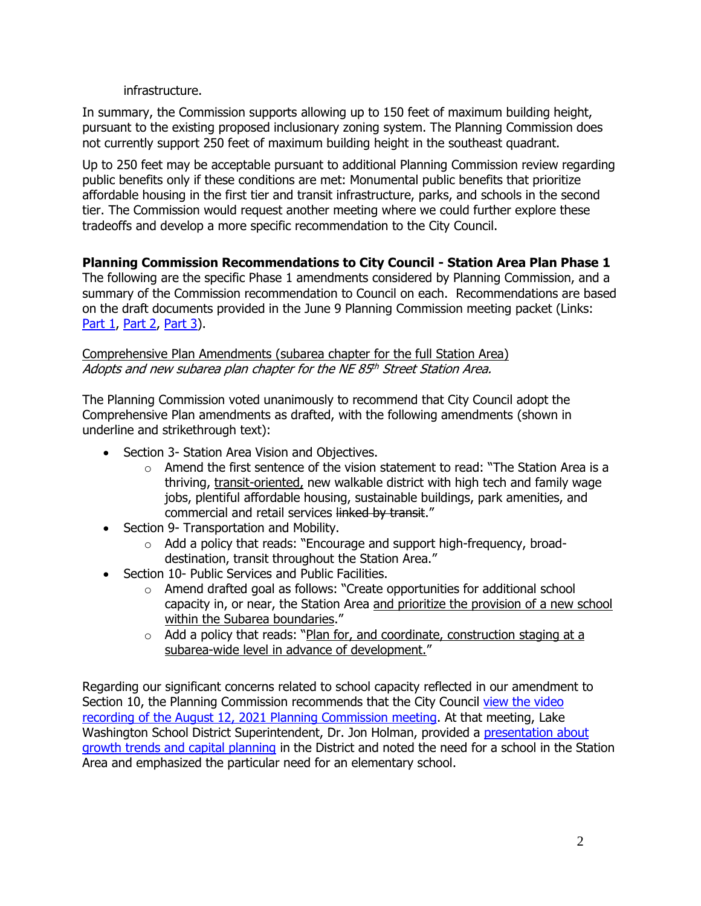### infrastructure.

In summary, the Commission supports allowing up to 150 feet of maximum building height, pursuant to the existing proposed inclusionary zoning system. The Planning Commission does not currently support 250 feet of maximum building height in the southeast quadrant.

Up to 250 feet may be acceptable pursuant to additional Planning Commission review regarding public benefits only if these conditions are met: Monumental public benefits that prioritize affordable housing in the first tier and transit infrastructure, parks, and schools in the second tier. The Commission would request another meeting where we could further explore these tradeoffs and develop a more specific recommendation to the City Council.

# **Planning Commission Recommendations to City Council - Station Area Plan Phase 1**

The following are the specific Phase 1 amendments considered by Planning Commission, and a summary of the Commission recommendation to Council on each. Recommendations are based on the draft documents provided in the June 9 Planning Commission meeting packet (Links: [Part 1,](https://www.kirklandwa.gov/files/sharedassets/public/planning-amp-building/planning-commission/ne-85th-street-station-area-plan-06_09_2022-pc-hearing-packet-cam20-00153sfs_part1.pdf) [Part 2,](https://www.kirklandwa.gov/files/sharedassets/public/planning-amp-building/planning-commission/ne-85th-street-station-area-plan-06_09_2022-pc-hearing-packet-cam20-00153sfs_part2.pdf) [Part 3\)](https://www.kirklandwa.gov/files/sharedassets/public/planning-amp-building/planning-commission/ne-85th-street-station-area-plan-06_09_2022-pc-hearing-packet-cam20-00153sfs_part3.pdf).

## Comprehensive Plan Amendments (subarea chapter for the full Station Area) Adopts and new subarea plan chapter for the NE 85th Street Station Area.

The Planning Commission voted unanimously to recommend that City Council adopt the Comprehensive Plan amendments as drafted, with the following amendments (shown in underline and strikethrough text):

- Section 3- Station Area Vision and Objectives.
	- $\circ$  Amend the first sentence of the vision statement to read: "The Station Area is a thriving, transit-oriented, new walkable district with high tech and family wage jobs, plentiful affordable housing, sustainable buildings, park amenities, and commercial and retail services linked by transit."
- Section 9- Transportation and Mobility.
	- o Add a policy that reads: "Encourage and support high-frequency, broaddestination, transit throughout the Station Area."
- Section 10- Public Services and Public Facilities.
	- $\circ$  Amend drafted goal as follows: "Create opportunities for additional school capacity in, or near, the Station Area and prioritize the provision of a new school within the Subarea boundaries."
	- $\circ$  Add a policy that reads: "Plan for, and coordinate, construction staging at a subarea-wide level in advance of development."

Regarding our significant concerns related to school capacity reflected in our amendment to Section 10, the Planning Commission recommends that the City Council [view the video](https://kirkland.granicus.com/player/clip/4459?view_id=12&redirect=true)  [recording of the August 12, 2021 Planning Commission meeting.](https://kirkland.granicus.com/player/clip/4459?view_id=12&redirect=true) At that meeting, Lake Washington School District Superintendent, Dr. Jon Holman, provided a [presentation about](https://www.kirklandwa.gov/files/sharedassets/public/planning-amp-building/21.08.12-lwsd-presentation.pdf)  [growth trends and capital planning](https://www.kirklandwa.gov/files/sharedassets/public/planning-amp-building/21.08.12-lwsd-presentation.pdf) in the District and noted the need for a school in the Station Area and emphasized the particular need for an elementary school.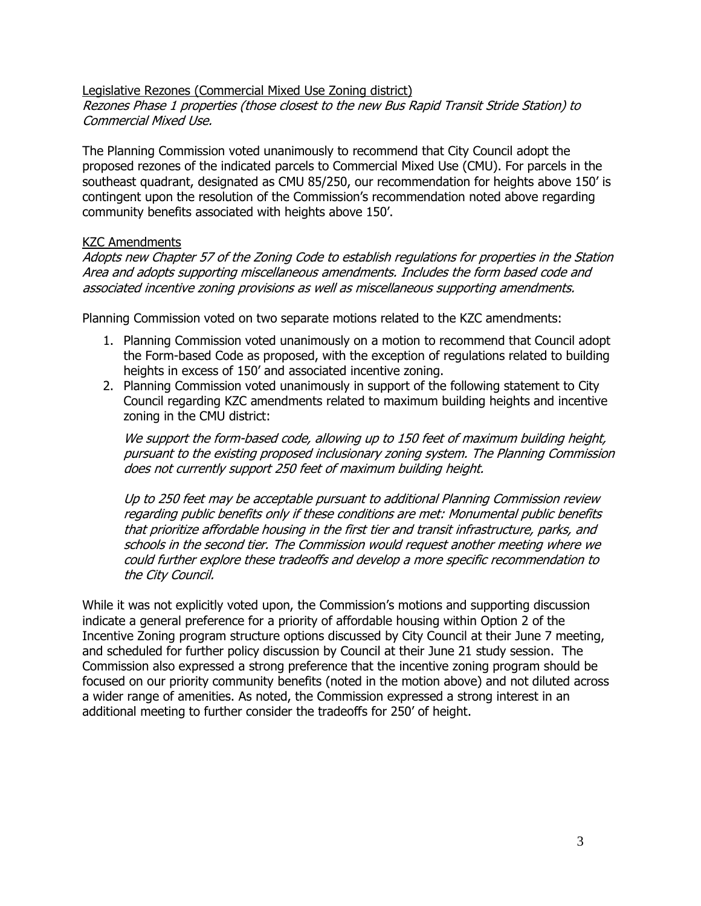Legislative Rezones (Commercial Mixed Use Zoning district) Rezones Phase 1 properties (those closest to the new Bus Rapid Transit Stride Station) to Commercial Mixed Use.

The Planning Commission voted unanimously to recommend that City Council adopt the proposed rezones of the indicated parcels to Commercial Mixed Use (CMU). For parcels in the southeast quadrant, designated as CMU 85/250, our recommendation for heights above 150' is contingent upon the resolution of the Commission's recommendation noted above regarding community benefits associated with heights above 150'.

#### KZC Amendments

Adopts new Chapter 57 of the Zoning Code to establish regulations for properties in the Station Area and adopts supporting miscellaneous amendments. Includes the form based code and associated incentive zoning provisions as well as miscellaneous supporting amendments.

Planning Commission voted on two separate motions related to the KZC amendments:

- 1. Planning Commission voted unanimously on a motion to recommend that Council adopt the Form-based Code as proposed, with the exception of regulations related to building heights in excess of 150' and associated incentive zoning.
- 2. Planning Commission voted unanimously in support of the following statement to City Council regarding KZC amendments related to maximum building heights and incentive zoning in the CMU district:

We support the form-based code, allowing up to 150 feet of maximum building height, pursuant to the existing proposed inclusionary zoning system. The Planning Commission does not currently support 250 feet of maximum building height.

Up to 250 feet may be acceptable pursuant to additional Planning Commission review regarding public benefits only if these conditions are met: Monumental public benefits that prioritize affordable housing in the first tier and transit infrastructure, parks, and schools in the second tier. The Commission would request another meeting where we could further explore these tradeoffs and develop a more specific recommendation to the City Council.

While it was not explicitly voted upon, the Commission's motions and supporting discussion indicate a general preference for a priority of affordable housing within Option 2 of the Incentive Zoning program structure options discussed by City Council at their June 7 meeting, and scheduled for further policy discussion by Council at their June 21 study session. The Commission also expressed a strong preference that the incentive zoning program should be focused on our priority community benefits (noted in the motion above) and not diluted across a wider range of amenities. As noted, the Commission expressed a strong interest in an additional meeting to further consider the tradeoffs for 250' of height.